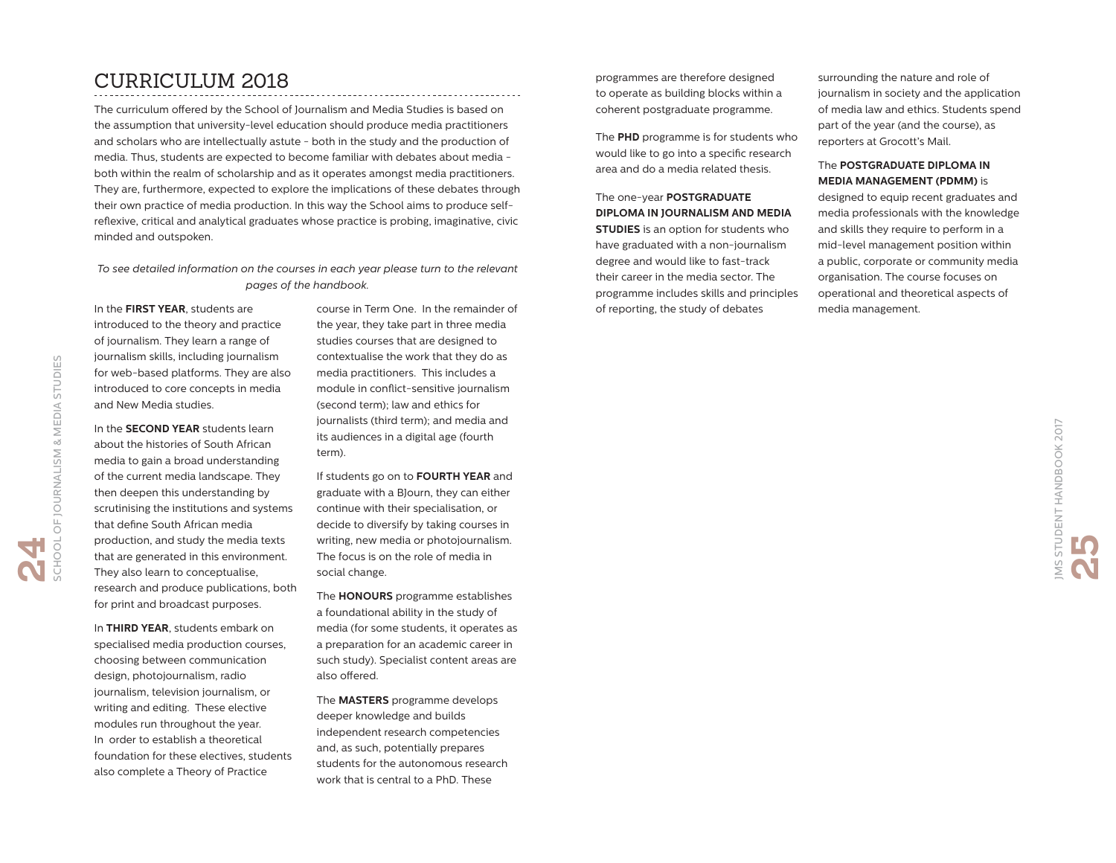## CURRICULUM 2018

The curriculum offered by the School of Journalism and Media Studies is based on the assumption that university-level education should produce media practitioners and scholars who are intellectually astute - both in the study and the production of media. Thus, students are expected to become familiar with debates about media both within the realm of scholarship and as it operates amongst media practitioners. They are, furthermore, expected to explore the implications of these debates through their own practice of media production. In this way the School aims to produce selfreflexive, critical and analytical graduates whose practice is probing, imaginative, civic minded and outspoken.

#### *To see detailed information on the courses in each year please turn to the relevant pages of the handbook.*

In the **FIRST YEAR**, students are introduced to the theory and practice of journalism. They learn a range of journalism skills, including journalism for web-based platforms. They are also introduced to core concepts in media and New Media studies.

In the **SECOND YEAR** students learn about the histories of South African media to gain a broad understanding of the current media landscape. They then deepen this understanding by scrutinising the institutions and systems that define South African media production, and study the media texts that are generated in this environment. They also learn to conceptualise, research and produce publications, both for print and broadcast purposes.

In **THIRD YEAR**, students embark on specialised media production courses, choosing between communication design, photojournalism, radio journalism, television journalism, or writing and editing. These elective modules run throughout the year. In order to establish a theoretical foundation for these electives, students also complete a Theory of Practice

course in Term One. In the remainder of the year, they take part in three media studies courses that are designed to contextualise the work that they do as media practitioners. This includes a module in conflict-sensitive journalism (second term); law and ethics for journalists (third term); and media and its audiences in a digital age (fourth term).

If students go on to **FOURTH YEAR** and graduate with a BJourn, they can either continue with their specialisation, or decide to diversify by taking courses in writing, new media or photojournalism. The focus is on the role of media in social change.

The **HONOURS** programme establishes a foundational ability in the study of media (for some students, it operates as a preparation for an academic career in such study). Specialist content areas are also offered.

The **MASTERS** programme develops deeper knowledge and builds independent research competencies and, as such, potentially prepares students for the autonomous research work that is central to a PhD. These

programmes are therefore designed to operate as building blocks within a coherent postgraduate programme.

The **PHD** programme is for students who would like to go into a specific research area and do a media related thesis.

### The one-year **POSTGRADUATE DIPLOMA IN JOURNALISM AND MEDIA**

**STUDIES** is an option for students who have graduated with a non-journalism degree and would like to fast-track their career in the media sector. The programme includes skills and principles of reporting, the study of debates

surrounding the nature and role of journalism in society and the application of media law and ethics. Students spend part of the year (and the course), as reporters at Grocott's Mail.

#### The **POSTGRADUATE DIPLOMA IN MEDIA MANAGEMENT (PDMM)** is

designed to equip recent graduates and media professionals with the knowledge and skills they require to perform in a mid-level management position within a public, corporate or community media organisation. The course focuses on operational and theoretical aspects of media management.